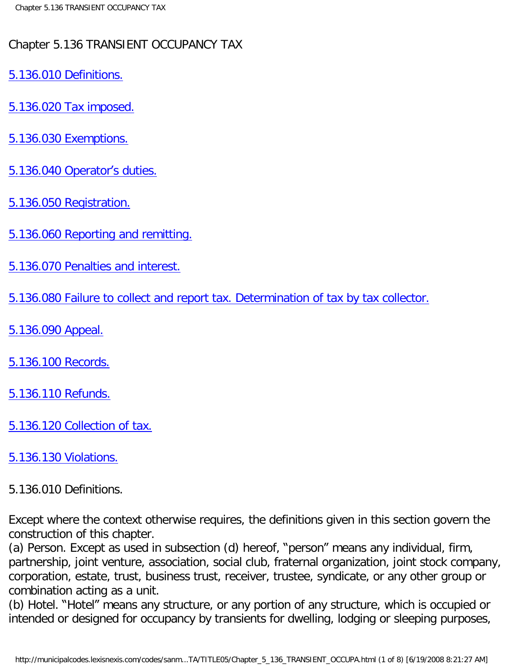## Chapter 5.136 TRANSIENT OCCUPANCY TAX

- [5.136.010 Definitions.](#page-0-0)
- [5.136.020 Tax imposed.](#page-1-0)
- [5.136.030 Exemptions.](#page-2-0)
- [5.136.040 Operator](#page-2-1)'s duties.
- [5.136.050 Registration.](#page-2-2)
- [5.136.060 Reporting and remitting.](#page-3-0)
- [5.136.070 Penalties and interest.](#page-3-1)
- [5.136.080 Failure to collect and report tax. Determination of tax by tax collector.](#page-4-0)
- [5.136.090 Appeal.](#page-4-1)
- [5.136.100 Records.](#page-5-0)
- [5.136.110 Refunds.](#page-5-1)
- [5.136.120 Collection of tax.](#page-5-2)

## <span id="page-0-0"></span>[5.136.130 Violations.](#page-7-0)

## 5.136.010 Definitions.

Except where the context otherwise requires, the definitions given in this section govern the construction of this chapter.

(a) Person. Except as used in subsection (d) hereof, "person" means any individual, firm, partnership, joint venture, association, social club, fraternal organization, joint stock company, corporation, estate, trust, business trust, receiver, trustee, syndicate, or any other group or combination acting as a unit.

(b) Hotel. "Hotel" means any structure, or any portion of any structure, which is occupied or intended or designed for occupancy by transients for dwelling, lodging or sleeping purposes,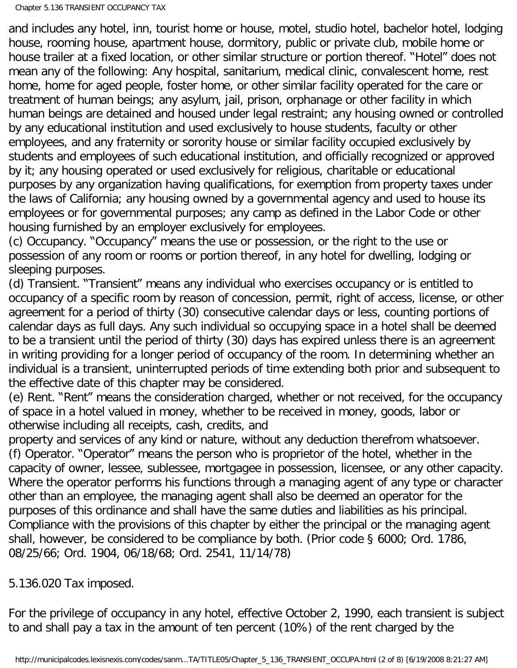and includes any hotel, inn, tourist home or house, motel, studio hotel, bachelor hotel, lodging house, rooming house, apartment house, dormitory, public or private club, mobile home or house trailer at a fixed location, or other similar structure or portion thereof. "Hotel" does not mean any of the following: Any hospital, sanitarium, medical clinic, convalescent home, rest home, home for aged people, foster home, or other similar facility operated for the care or treatment of human beings; any asylum, jail, prison, orphanage or other facility in which human beings are detained and housed under legal restraint; any housing owned or controlled by any educational institution and used exclusively to house students, faculty or other employees, and any fraternity or sorority house or similar facility occupied exclusively by students and employees of such educational institution, and officially recognized or approved by it; any housing operated or used exclusively for religious, charitable or educational purposes by any organization having qualifications, for exemption from property taxes under the laws of California; any housing owned by a governmental agency and used to house its employees or for governmental purposes; any camp as defined in the Labor Code or other housing furnished by an employer exclusively for employees.

(c) Occupancy. "Occupancy" means the use or possession, or the right to the use or possession of any room or rooms or portion thereof, in any hotel for dwelling, lodging or sleeping purposes.

(d) Transient. "Transient" means any individual who exercises occupancy or is entitled to occupancy of a specific room by reason of concession, permit, right of access, license, or other agreement for a period of thirty (30) consecutive calendar days or less, counting portions of calendar days as full days. Any such individual so occupying space in a hotel shall be deemed to be a transient until the period of thirty (30) days has expired unless there is an agreement in writing providing for a longer period of occupancy of the room. In determining whether an individual is a transient, uninterrupted periods of time extending both prior and subsequent to the effective date of this chapter may be considered.

(e) Rent. "Rent" means the consideration charged, whether or not received, for the occupancy of space in a hotel valued in money, whether to be received in money, goods, labor or otherwise including all receipts, cash, credits, and

property and services of any kind or nature, without any deduction therefrom whatsoever. (f) Operator. "Operator" means the person who is proprietor of the hotel, whether in the capacity of owner, lessee, sublessee, mortgagee in possession, licensee, or any other capacity. Where the operator performs his functions through a managing agent of any type or character other than an employee, the managing agent shall also be deemed an operator for the purposes of this ordinance and shall have the same duties and liabilities as his principal. Compliance with the provisions of this chapter by either the principal or the managing agent shall, however, be considered to be compliance by both. (Prior code § 6000; Ord. 1786, 08/25/66; Ord. 1904, 06/18/68; Ord. 2541, 11/14/78)

## <span id="page-1-0"></span>5.136.020 Tax imposed.

For the privilege of occupancy in any hotel, effective October 2, 1990, each transient is subject to and shall pay a tax in the amount of ten percent (10%) of the rent charged by the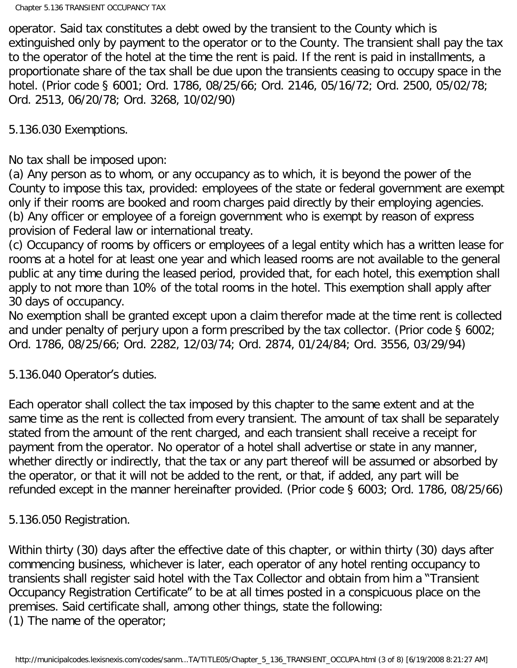operator. Said tax constitutes a debt owed by the transient to the County which is extinguished only by payment to the operator or to the County. The transient shall pay the tax to the operator of the hotel at the time the rent is paid. If the rent is paid in installments, a proportionate share of the tax shall be due upon the transients ceasing to occupy space in the hotel. (Prior code § 6001; Ord. 1786, 08/25/66; Ord. 2146, 05/16/72; Ord. 2500, 05/02/78; Ord. 2513, 06/20/78; Ord. 3268, 10/02/90)

<span id="page-2-0"></span>5.136.030 Exemptions.

No tax shall be imposed upon:

(a) Any person as to whom, or any occupancy as to which, it is beyond the power of the County to impose this tax, provided: employees of the state or federal government are exempt only if their rooms are booked and room charges paid directly by their employing agencies. (b) Any officer or employee of a foreign government who is exempt by reason of express provision of Federal law or international treaty.

(c) Occupancy of rooms by officers or employees of a legal entity which has a written lease for rooms at a hotel for at least one year and which leased rooms are not available to the general public at any time during the leased period, provided that, for each hotel, this exemption shall apply to not more than 10% of the total rooms in the hotel. This exemption shall apply after 30 days of occupancy.

No exemption shall be granted except upon a claim therefor made at the time rent is collected and under penalty of perjury upon a form prescribed by the tax collector. (Prior code § 6002; Ord. 1786, 08/25/66; Ord. 2282, 12/03/74; Ord. 2874, 01/24/84; Ord. 3556, 03/29/94)

<span id="page-2-1"></span>5.136.040 Operator's duties.

Each operator shall collect the tax imposed by this chapter to the same extent and at the same time as the rent is collected from every transient. The amount of tax shall be separately stated from the amount of the rent charged, and each transient shall receive a receipt for payment from the operator. No operator of a hotel shall advertise or state in any manner, whether directly or indirectly, that the tax or any part thereof will be assumed or absorbed by the operator, or that it will not be added to the rent, or that, if added, any part will be refunded except in the manner hereinafter provided. (Prior code § 6003; Ord. 1786, 08/25/66)

<span id="page-2-2"></span>5.136.050 Registration.

Within thirty (30) days after the effective date of this chapter, or within thirty (30) days after commencing business, whichever is later, each operator of any hotel renting occupancy to transients shall register said hotel with the Tax Collector and obtain from him a "Transient Occupancy Registration Certificate" to be at all times posted in a conspicuous place on the premises. Said certificate shall, among other things, state the following: (1) The name of the operator;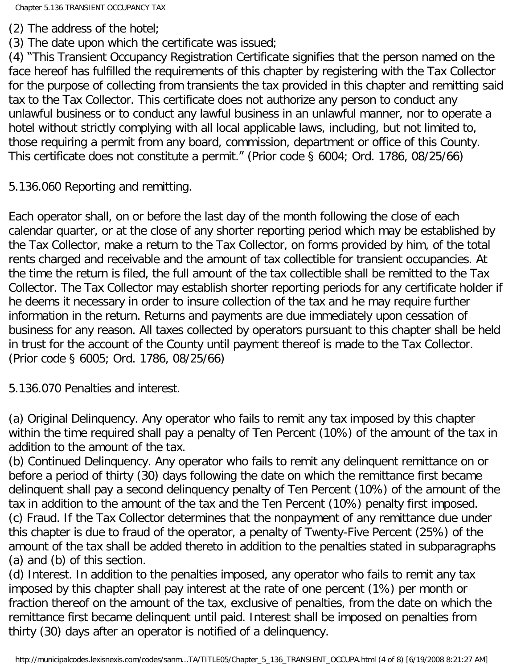(2) The address of the hotel;

(3) The date upon which the certificate was issued;

(4) "This Transient Occupancy Registration Certificate signifies that the person named on the face hereof has fulfilled the requirements of this chapter by registering with the Tax Collector for the purpose of collecting from transients the tax provided in this chapter and remitting said tax to the Tax Collector. This certificate does not authorize any person to conduct any unlawful business or to conduct any lawful business in an unlawful manner, nor to operate a hotel without strictly complying with all local applicable laws, including, but not limited to, those requiring a permit from any board, commission, department or office of this County. This certificate does not constitute a permit." (Prior code § 6004; Ord. 1786, 08/25/66)

<span id="page-3-0"></span>5.136.060 Reporting and remitting.

Each operator shall, on or before the last day of the month following the close of each calendar quarter, or at the close of any shorter reporting period which may be established by the Tax Collector, make a return to the Tax Collector, on forms provided by him, of the total rents charged and receivable and the amount of tax collectible for transient occupancies. At the time the return is filed, the full amount of the tax collectible shall be remitted to the Tax Collector. The Tax Collector may establish shorter reporting periods for any certificate holder if he deems it necessary in order to insure collection of the tax and he may require further information in the return. Returns and payments are due immediately upon cessation of business for any reason. All taxes collected by operators pursuant to this chapter shall be held in trust for the account of the County until payment thereof is made to the Tax Collector. (Prior code § 6005; Ord. 1786, 08/25/66)

<span id="page-3-1"></span>5.136.070 Penalties and interest.

(a) Original Delinquency. Any operator who fails to remit any tax imposed by this chapter within the time required shall pay a penalty of Ten Percent (10%) of the amount of the tax in addition to the amount of the tax.

(b) Continued Delinquency. Any operator who fails to remit any delinquent remittance on or before a period of thirty (30) days following the date on which the remittance first became delinquent shall pay a second delinquency penalty of Ten Percent (10%) of the amount of the tax in addition to the amount of the tax and the Ten Percent (10%) penalty first imposed. (c) Fraud. If the Tax Collector determines that the nonpayment of any remittance due under this chapter is due to fraud of the operator, a penalty of Twenty-Five Percent (25%) of the amount of the tax shall be added thereto in addition to the penalties stated in subparagraphs (a) and (b) of this section.

(d) Interest. In addition to the penalties imposed, any operator who fails to remit any tax imposed by this chapter shall pay interest at the rate of one percent (1%) per month or fraction thereof on the amount of the tax, exclusive of penalties, from the date on which the remittance first became delinquent until paid. Interest shall be imposed on penalties from thirty (30) days after an operator is notified of a delinquency.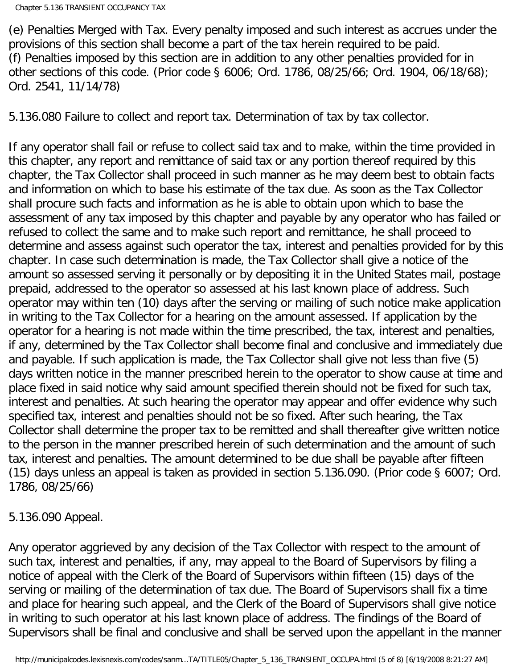(e) Penalties Merged with Tax. Every penalty imposed and such interest as accrues under the provisions of this section shall become a part of the tax herein required to be paid. (f) Penalties imposed by this section are in addition to any other penalties provided for in other sections of this code. (Prior code § 6006; Ord. 1786, 08/25/66; Ord. 1904, 06/18/68); Ord. 2541, 11/14/78)

<span id="page-4-0"></span>5.136.080 Failure to collect and report tax. Determination of tax by tax collector.

If any operator shall fail or refuse to collect said tax and to make, within the time provided in this chapter, any report and remittance of said tax or any portion thereof required by this chapter, the Tax Collector shall proceed in such manner as he may deem best to obtain facts and information on which to base his estimate of the tax due. As soon as the Tax Collector shall procure such facts and information as he is able to obtain upon which to base the assessment of any tax imposed by this chapter and payable by any operator who has failed or refused to collect the same and to make such report and remittance, he shall proceed to determine and assess against such operator the tax, interest and penalties provided for by this chapter. In case such determination is made, the Tax Collector shall give a notice of the amount so assessed serving it personally or by depositing it in the United States mail, postage prepaid, addressed to the operator so assessed at his last known place of address. Such operator may within ten (10) days after the serving or mailing of such notice make application in writing to the Tax Collector for a hearing on the amount assessed. If application by the operator for a hearing is not made within the time prescribed, the tax, interest and penalties, if any, determined by the Tax Collector shall become final and conclusive and immediately due and payable. If such application is made, the Tax Collector shall give not less than five (5) days written notice in the manner prescribed herein to the operator to show cause at time and place fixed in said notice why said amount specified therein should not be fixed for such tax, interest and penalties. At such hearing the operator may appear and offer evidence why such specified tax, interest and penalties should not be so fixed. After such hearing, the Tax Collector shall determine the proper tax to be remitted and shall thereafter give written notice to the person in the manner prescribed herein of such determination and the amount of such tax, interest and penalties. The amount determined to be due shall be payable after fifteen (15) days unless an appeal is taken as provided in section 5.136.090. (Prior code § 6007; Ord. 1786, 08/25/66)

<span id="page-4-1"></span>5.136.090 Appeal.

Any operator aggrieved by any decision of the Tax Collector with respect to the amount of such tax, interest and penalties, if any, may appeal to the Board of Supervisors by filing a notice of appeal with the Clerk of the Board of Supervisors within fifteen (15) days of the serving or mailing of the determination of tax due. The Board of Supervisors shall fix a time and place for hearing such appeal, and the Clerk of the Board of Supervisors shall give notice in writing to such operator at his last known place of address. The findings of the Board of Supervisors shall be final and conclusive and shall be served upon the appellant in the manner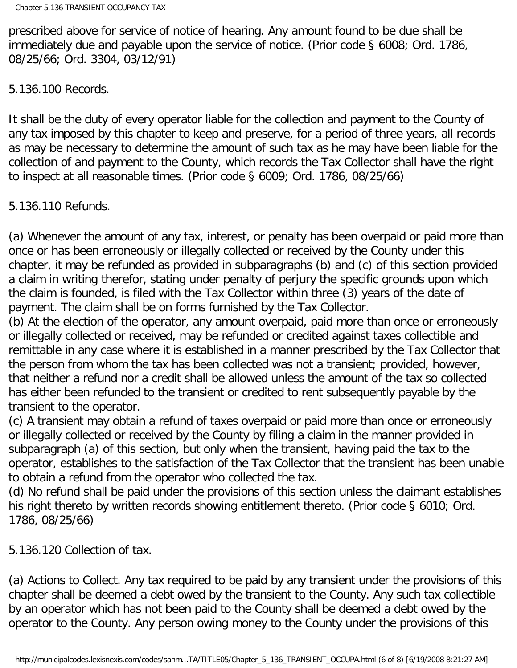prescribed above for service of notice of hearing. Any amount found to be due shall be immediately due and payable upon the service of notice. (Prior code § 6008; Ord. 1786, 08/25/66; Ord. 3304, 03/12/91)

<span id="page-5-0"></span>5.136.100 Records.

It shall be the duty of every operator liable for the collection and payment to the County of any tax imposed by this chapter to keep and preserve, for a period of three years, all records as may be necessary to determine the amount of such tax as he may have been liable for the collection of and payment to the County, which records the Tax Collector shall have the right to inspect at all reasonable times. (Prior code § 6009; Ord. 1786, 08/25/66)

<span id="page-5-1"></span>5.136.110 Refunds.

(a) Whenever the amount of any tax, interest, or penalty has been overpaid or paid more than once or has been erroneously or illegally collected or received by the County under this chapter, it may be refunded as provided in subparagraphs (b) and (c) of this section provided a claim in writing therefor, stating under penalty of perjury the specific grounds upon which the claim is founded, is filed with the Tax Collector within three (3) years of the date of payment. The claim shall be on forms furnished by the Tax Collector.

(b) At the election of the operator, any amount overpaid, paid more than once or erroneously or illegally collected or received, may be refunded or credited against taxes collectible and remittable in any case where it is established in a manner prescribed by the Tax Collector that the person from whom the tax has been collected was not a transient; provided, however, that neither a refund nor a credit shall be allowed unless the amount of the tax so collected has either been refunded to the transient or credited to rent subsequently payable by the transient to the operator.

(c) A transient may obtain a refund of taxes overpaid or paid more than once or erroneously or illegally collected or received by the County by filing a claim in the manner provided in subparagraph (a) of this section, but only when the transient, having paid the tax to the operator, establishes to the satisfaction of the Tax Collector that the transient has been unable to obtain a refund from the operator who collected the tax.

(d) No refund shall be paid under the provisions of this section unless the claimant establishes his right thereto by written records showing entitlement thereto. (Prior code § 6010; Ord. 1786, 08/25/66)

<span id="page-5-2"></span>5.136.120 Collection of tax.

(a) Actions to Collect. Any tax required to be paid by any transient under the provisions of this chapter shall be deemed a debt owed by the transient to the County. Any such tax collectible by an operator which has not been paid to the County shall be deemed a debt owed by the operator to the County. Any person owing money to the County under the provisions of this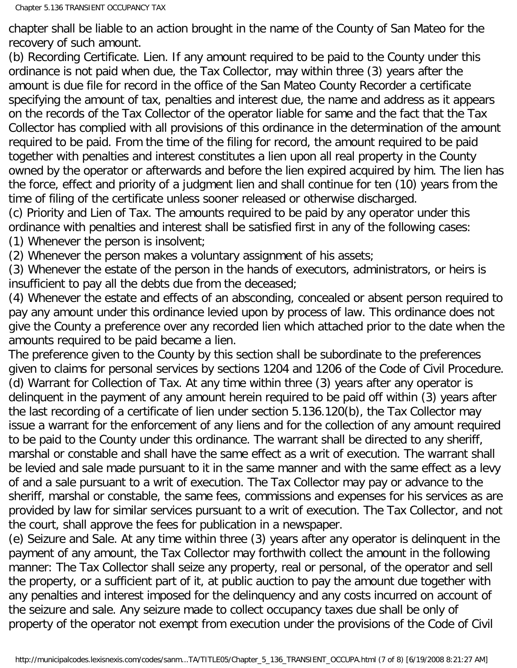chapter shall be liable to an action brought in the name of the County of San Mateo for the recovery of such amount.

(b) Recording Certificate. Lien. If any amount required to be paid to the County under this ordinance is not paid when due, the Tax Collector, may within three (3) years after the amount is due file for record in the office of the San Mateo County Recorder a certificate specifying the amount of tax, penalties and interest due, the name and address as it appears on the records of the Tax Collector of the operator liable for same and the fact that the Tax Collector has complied with all provisions of this ordinance in the determination of the amount required to be paid. From the time of the filing for record, the amount required to be paid together with penalties and interest constitutes a lien upon all real property in the County owned by the operator or afterwards and before the lien expired acquired by him. The lien has the force, effect and priority of a judgment lien and shall continue for ten (10) years from the time of filing of the certificate unless sooner released or otherwise discharged.

(c) Priority and Lien of Tax. The amounts required to be paid by any operator under this ordinance with penalties and interest shall be satisfied first in any of the following cases: (1) Whenever the person is insolvent;

(2) Whenever the person makes a voluntary assignment of his assets;

(3) Whenever the estate of the person in the hands of executors, administrators, or heirs is insufficient to pay all the debts due from the deceased;

(4) Whenever the estate and effects of an absconding, concealed or absent person required to pay any amount under this ordinance levied upon by process of law. This ordinance does not give the County a preference over any recorded lien which attached prior to the date when the amounts required to be paid became a lien.

The preference given to the County by this section shall be subordinate to the preferences given to claims for personal services by sections 1204 and 1206 of the Code of Civil Procedure. (d) Warrant for Collection of Tax. At any time within three (3) years after any operator is delinquent in the payment of any amount herein required to be paid off within (3) years after the last recording of a certificate of lien under section 5.136.120(b), the Tax Collector may issue a warrant for the enforcement of any liens and for the collection of any amount required to be paid to the County under this ordinance. The warrant shall be directed to any sheriff, marshal or constable and shall have the same effect as a writ of execution. The warrant shall be levied and sale made pursuant to it in the same manner and with the same effect as a levy of and a sale pursuant to a writ of execution. The Tax Collector may pay or advance to the sheriff, marshal or constable, the same fees, commissions and expenses for his services as are provided by law for similar services pursuant to a writ of execution. The Tax Collector, and not the court, shall approve the fees for publication in a newspaper.

(e) Seizure and Sale. At any time within three (3) years after any operator is delinquent in the payment of any amount, the Tax Collector may forthwith collect the amount in the following manner: The Tax Collector shall seize any property, real or personal, of the operator and sell the property, or a sufficient part of it, at public auction to pay the amount due together with any penalties and interest imposed for the delinquency and any costs incurred on account of the seizure and sale. Any seizure made to collect occupancy taxes due shall be only of property of the operator not exempt from execution under the provisions of the Code of Civil